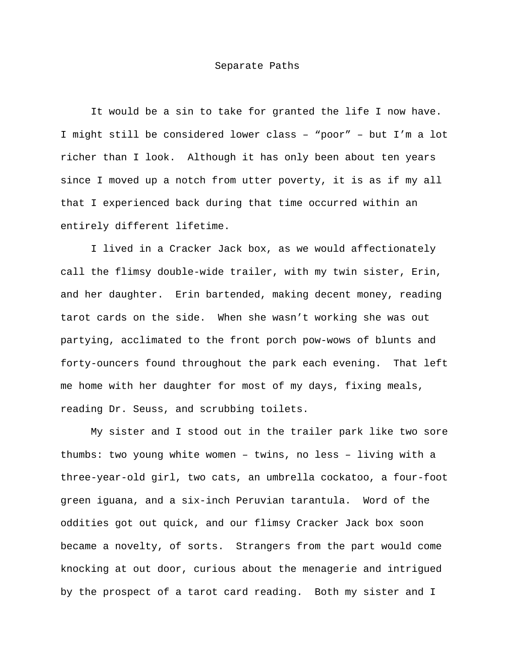It would be a sin to take for granted the life I now have. I might still be considered lower class – "poor" – but I'm a lot richer than I look. Although it has only been about ten years since I moved up a notch from utter poverty, it is as if my all that I experienced back during that time occurred within an entirely different lifetime.

 I lived in a Cracker Jack box, as we would affectionately call the flimsy double-wide trailer, with my twin sister, Erin, and her daughter. Erin bartended, making decent money, reading tarot cards on the side. When she wasn't working she was out partying, acclimated to the front porch pow-wows of blunts and forty-ouncers found throughout the park each evening. That left me home with her daughter for most of my days, fixing meals, reading Dr. Seuss, and scrubbing toilets.

 My sister and I stood out in the trailer park like two sore thumbs: two young white women – twins, no less – living with a three-year-old girl, two cats, an umbrella cockatoo, a four-foot green iguana, and a six-inch Peruvian tarantula. Word of the oddities got out quick, and our flimsy Cracker Jack box soon became a novelty, of sorts. Strangers from the part would come knocking at out door, curious about the menagerie and intrigued by the prospect of a tarot card reading. Both my sister and I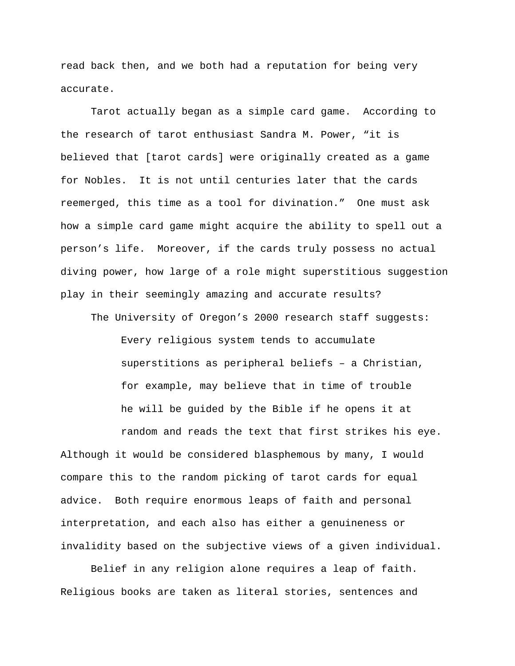read back then, and we both had a reputation for being very accurate.

 Tarot actually began as a simple card game. According to the research of tarot enthusiast Sandra M. Power, "it is believed that [tarot cards] were originally created as a game for Nobles. It is not until centuries later that the cards reemerged, this time as a tool for divination." One must ask how a simple card game might acquire the ability to spell out a person's life. Moreover, if the cards truly possess no actual diving power, how large of a role might superstitious suggestion play in their seemingly amazing and accurate results?

The University of Oregon's 2000 research staff suggests:

Every religious system tends to accumulate superstitions as peripheral beliefs – a Christian, for example, may believe that in time of trouble he will be guided by the Bible if he opens it at

 random and reads the text that first strikes his eye. Although it would be considered blasphemous by many, I would compare this to the random picking of tarot cards for equal advice. Both require enormous leaps of faith and personal interpretation, and each also has either a genuineness or invalidity based on the subjective views of a given individual.

 Belief in any religion alone requires a leap of faith. Religious books are taken as literal stories, sentences and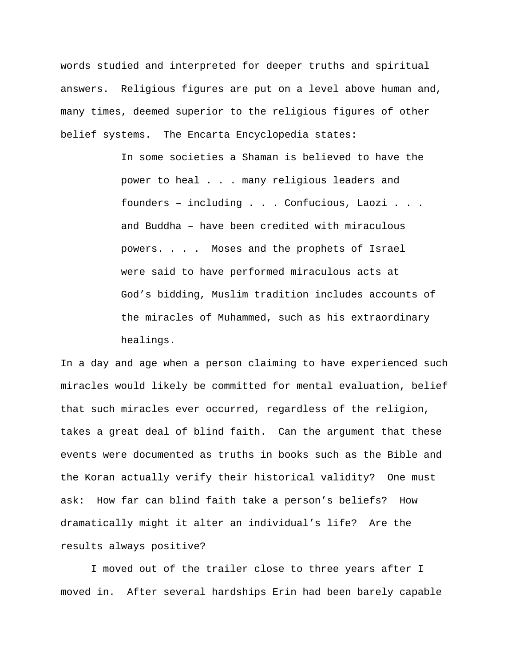words studied and interpreted for deeper truths and spiritual answers. Religious figures are put on a level above human and, many times, deemed superior to the religious figures of other belief systems. The Encarta Encyclopedia states:

> In some societies a Shaman is believed to have the power to heal . . . many religious leaders and founders – including . . . Confucious, Laozi . . . and Buddha – have been credited with miraculous powers. . . . Moses and the prophets of Israel were said to have performed miraculous acts at God's bidding, Muslim tradition includes accounts of the miracles of Muhammed, such as his extraordinary healings.

In a day and age when a person claiming to have experienced such miracles would likely be committed for mental evaluation, belief that such miracles ever occurred, regardless of the religion, takes a great deal of blind faith. Can the argument that these events were documented as truths in books such as the Bible and the Koran actually verify their historical validity? One must ask: How far can blind faith take a person's beliefs? How dramatically might it alter an individual's life? Are the results always positive?

 I moved out of the trailer close to three years after I moved in. After several hardships Erin had been barely capable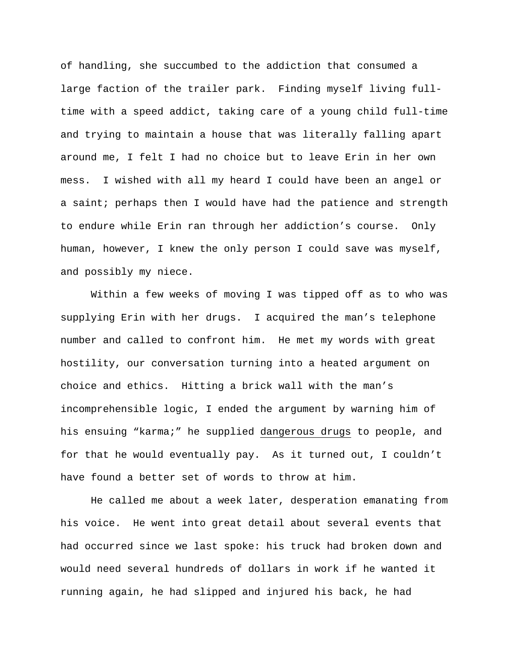of handling, she succumbed to the addiction that consumed a large faction of the trailer park. Finding myself living fulltime with a speed addict, taking care of a young child full-time and trying to maintain a house that was literally falling apart around me, I felt I had no choice but to leave Erin in her own mess. I wished with all my heard I could have been an angel or a saint; perhaps then I would have had the patience and strength to endure while Erin ran through her addiction's course. Only human, however, I knew the only person I could save was myself, and possibly my niece.

 Within a few weeks of moving I was tipped off as to who was supplying Erin with her drugs. I acquired the man's telephone number and called to confront him. He met my words with great hostility, our conversation turning into a heated argument on choice and ethics. Hitting a brick wall with the man's incomprehensible logic, I ended the argument by warning him of his ensuing "karma;" he supplied dangerous drugs to people, and for that he would eventually pay. As it turned out, I couldn't have found a better set of words to throw at him.

 He called me about a week later, desperation emanating from his voice. He went into great detail about several events that had occurred since we last spoke: his truck had broken down and would need several hundreds of dollars in work if he wanted it running again, he had slipped and injured his back, he had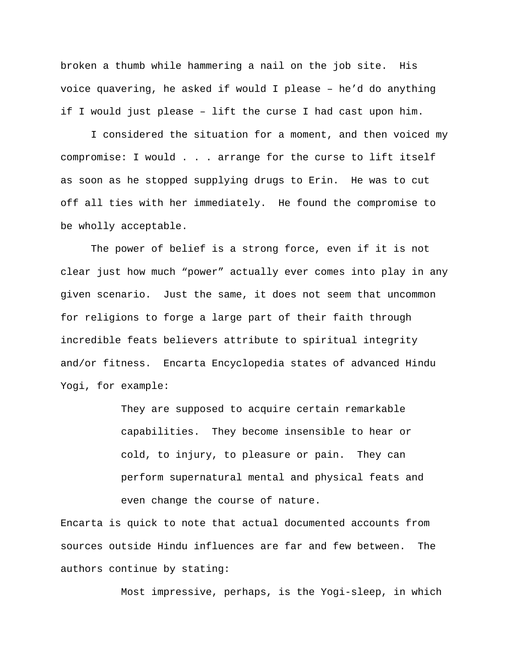broken a thumb while hammering a nail on the job site. His voice quavering, he asked if would I please – he'd do anything if I would just please – lift the curse I had cast upon him.

 I considered the situation for a moment, and then voiced my compromise: I would . . . arrange for the curse to lift itself as soon as he stopped supplying drugs to Erin. He was to cut off all ties with her immediately. He found the compromise to be wholly acceptable.

 The power of belief is a strong force, even if it is not clear just how much "power" actually ever comes into play in any given scenario. Just the same, it does not seem that uncommon for religions to forge a large part of their faith through incredible feats believers attribute to spiritual integrity and/or fitness. Encarta Encyclopedia states of advanced Hindu Yogi, for example:

> They are supposed to acquire certain remarkable capabilities. They become insensible to hear or cold, to injury, to pleasure or pain. They can perform supernatural mental and physical feats and even change the course of nature.

Encarta is quick to note that actual documented accounts from sources outside Hindu influences are far and few between. The authors continue by stating:

Most impressive, perhaps, is the Yogi-sleep, in which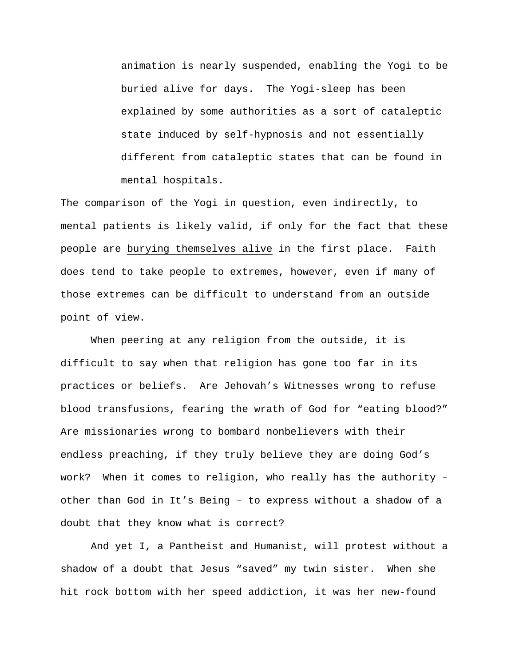animation is nearly suspended, enabling the Yogi to be buried alive for days. The Yogi-sleep has been explained by some authorities as a sort of cataleptic state induced by self-hypnosis and not essentially different from cataleptic states that can be found in mental hospitals.

The comparison of the Yogi in question, even indirectly, to mental patients is likely valid, if only for the fact that these people are burying themselves alive in the first place. Faith does tend to take people to extremes, however, even if many of those extremes can be difficult to understand from an outside point of view.

 When peering at any religion from the outside, it is difficult to say when that religion has gone too far in its practices or beliefs. Are Jehovah's Witnesses wrong to refuse blood transfusions, fearing the wrath of God for "eating blood?" Are missionaries wrong to bombard nonbelievers with their endless preaching, if they truly believe they are doing God's work? When it comes to religion, who really has the authority – other than God in It's Being – to express without a shadow of a doubt that they know what is correct?

 And yet I, a Pantheist and Humanist, will protest without a shadow of a doubt that Jesus "saved" my twin sister. When she hit rock bottom with her speed addiction, it was her new-found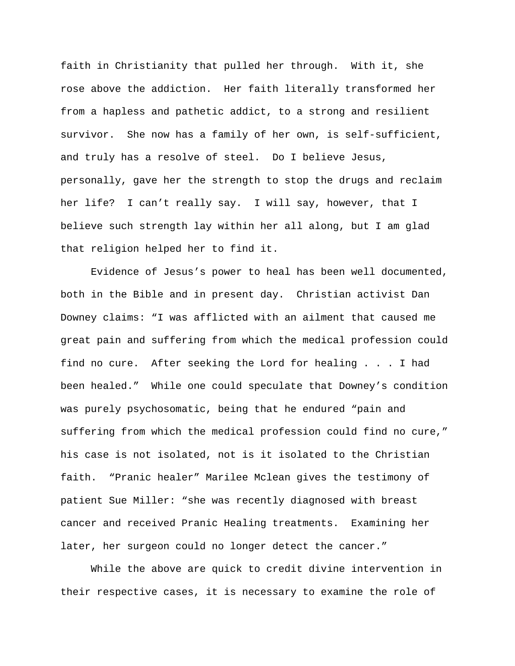faith in Christianity that pulled her through. With it, she rose above the addiction. Her faith literally transformed her from a hapless and pathetic addict, to a strong and resilient survivor. She now has a family of her own, is self-sufficient, and truly has a resolve of steel. Do I believe Jesus, personally, gave her the strength to stop the drugs and reclaim her life? I can't really say. I will say, however, that I believe such strength lay within her all along, but I am glad that religion helped her to find it.

 Evidence of Jesus's power to heal has been well documented, both in the Bible and in present day. Christian activist Dan Downey claims: "I was afflicted with an ailment that caused me great pain and suffering from which the medical profession could find no cure. After seeking the Lord for healing . . . I had been healed." While one could speculate that Downey's condition was purely psychosomatic, being that he endured "pain and suffering from which the medical profession could find no cure," his case is not isolated, not is it isolated to the Christian faith. "Pranic healer" Marilee Mclean gives the testimony of patient Sue Miller: "she was recently diagnosed with breast cancer and received Pranic Healing treatments. Examining her later, her surgeon could no longer detect the cancer."

 While the above are quick to credit divine intervention in their respective cases, it is necessary to examine the role of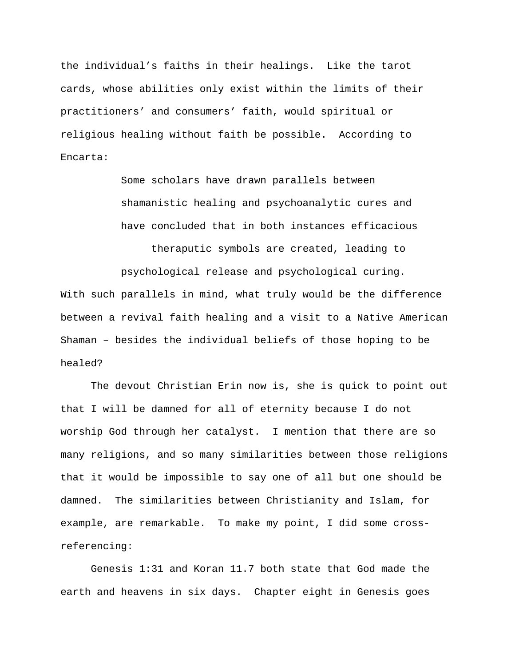the individual's faiths in their healings. Like the tarot cards, whose abilities only exist within the limits of their practitioners' and consumers' faith, would spiritual or religious healing without faith be possible. According to Encarta:

> Some scholars have drawn parallels between shamanistic healing and psychoanalytic cures and have concluded that in both instances efficacious

 theraputic symbols are created, leading to psychological release and psychological curing. With such parallels in mind, what truly would be the difference between a revival faith healing and a visit to a Native American Shaman – besides the individual beliefs of those hoping to be healed?

 The devout Christian Erin now is, she is quick to point out that I will be damned for all of eternity because I do not worship God through her catalyst. I mention that there are so many religions, and so many similarities between those religions that it would be impossible to say one of all but one should be damned. The similarities between Christianity and Islam, for example, are remarkable. To make my point, I did some crossreferencing:

 Genesis 1:31 and Koran 11.7 both state that God made the earth and heavens in six days. Chapter eight in Genesis goes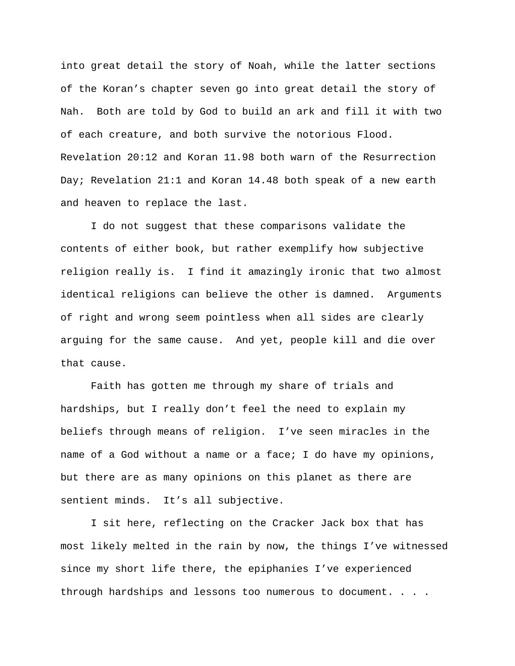into great detail the story of Noah, while the latter sections of the Koran's chapter seven go into great detail the story of Nah. Both are told by God to build an ark and fill it with two of each creature, and both survive the notorious Flood. Revelation 20:12 and Koran 11.98 both warn of the Resurrection Day; Revelation 21:1 and Koran 14.48 both speak of a new earth and heaven to replace the last.

 I do not suggest that these comparisons validate the contents of either book, but rather exemplify how subjective religion really is. I find it amazingly ironic that two almost identical religions can believe the other is damned. Arguments of right and wrong seem pointless when all sides are clearly arguing for the same cause. And yet, people kill and die over that cause.

 Faith has gotten me through my share of trials and hardships, but I really don't feel the need to explain my beliefs through means of religion. I've seen miracles in the name of a God without a name or a face; I do have my opinions, but there are as many opinions on this planet as there are sentient minds. It's all subjective.

 I sit here, reflecting on the Cracker Jack box that has most likely melted in the rain by now, the things I've witnessed since my short life there, the epiphanies I've experienced through hardships and lessons too numerous to document. . . .